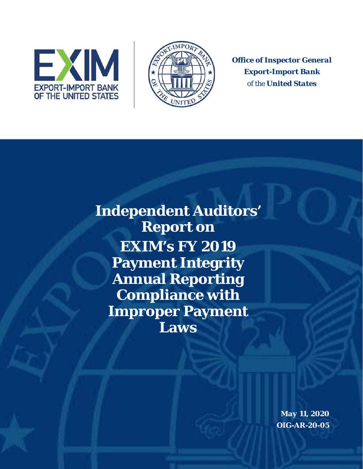



*Office of Inspector General Export-Import Bank of the United States* 

**Independent Auditors' Report on EXIM's FY 2019 Payment Integrity Annual Reporting Compliance with Improper Payment Laws** 

> *May 11, 2020 OIG-AR-20-05*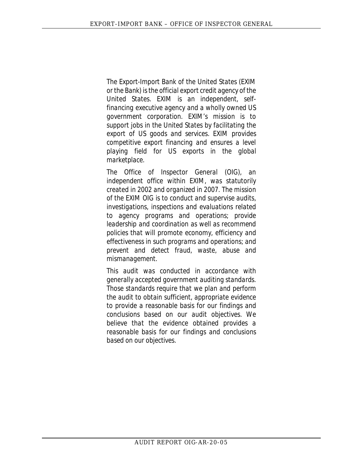*The Export-Import Bank of the United States (EXIM or the Bank) is the official export credit agency of the United States. EXIM is an independent, selffinancing executive agency and a wholly owned US government corporation. EXIM's mission is to support jobs in the United States by facilitating the export of US goods and services. EXIM provides competitive export financing and ensures a level playing field for US exports in the global marketplace.* 

 *effectiveness in such programs and operations; and The Office of Inspector General (OIG), an independent office within EXIM, was statutorily created in 2002 and organized in 2007. The mission of the EXIM OIG is to conduct and supervise audits, investigations, inspections and evaluations related to agency programs and operations; provide leadership and coordination as well as recommend policies that will promote economy, efficiency and prevent and detect fraud, waste, abuse and mismanagement.* 

*This audit was conducted in accordance with generally accepted government auditing standards. Those standards require that we plan and perform the audit to obtain sufficient, appropriate evidence to provide a reasonable basis for our findings and conclusions based on our audit objectives. We believe that the evidence obtained provides a reasonable basis for our findings and conclusions based on our objectives.*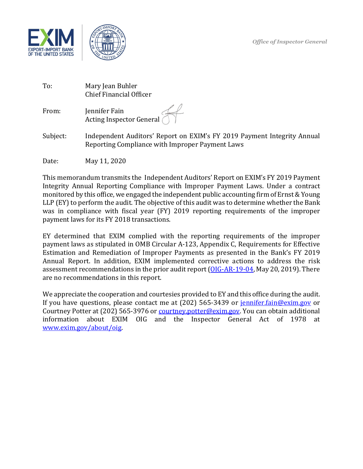

 $\overline{a}$ 



| To:   | Mary Jean Buhler<br><b>Chief Financial Officer</b> |  |  |  |
|-------|----------------------------------------------------|--|--|--|
| From: | Jennifer Fain<br>Acting Inspector General (        |  |  |  |

Acting Inspector General  $\bigcup$  |<br>Subject: Independent Auditors' Report on EXIM's FY 2019 Payment Integrity Annual Reporting Compliance with Improper Payment Laws

Date: May 11, 2020

 Integrity Annual Reporting Compliance with Improper Payment Laws. Under a contract monitored by this office, we engaged the independent public accounting firm of Ernst & Young LLP (EY) to perform the audit. The objective of this audit was to determine whether the Bank was in compliance with fiscal year (FY) 2019 reporting requirements of the improper This memorandum transmits the Independent Auditors' Report on EXIM's FY 2019 Payment payment laws for its FY 2018 transactions.

are no recommendations in this report. EY determined that EXIM complied with the reporting requirements of the improper payment laws as stipulated in OMB Circular A-123, Appendix C, Requirements for Effective Estimation and Remediation of Improper Payments as presented in the Bank's FY 2019 Annual Report. In addition, EXIM implemented corrective actions to address the risk assessment recommendations in the prior audit report (OIG-AR-19-04, May 20, 2019). There

If you have questions, please contact me at (202) 565-3439 or <u>jennifer.fain@exim.gov</u> or information about EXIM OIG and the Inspector General Act of 1978 at We appreciate the cooperation and courtesies provided to EY and this office during the audit. Courtney Potter at (202) 565-3976 or [courtney.potter@exim.gov.](mailto:courtney.potter@exim.gov) You can obtain additional [www.exim.gov/about/oig.](http://www.exim.gov/about/oig)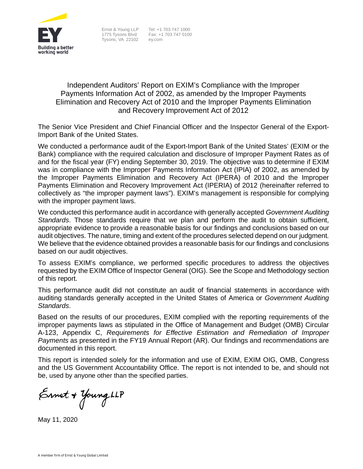

Tysons, VA 22102 [ey.com](http://ey.com) 

Ernst & Young LLP Tel: +1 703 747 1000 1775 Tysons Blvd Fax: +1 703 747 0100<br>Tvsons. VA 22102 ey.com

#### Independent Auditors' Report on EXIM's Compliance with the Improper Payments Information Act of 2002, as amended by the Improper Payments Elimination and Recovery Act of 2010 and the Improper Payments Elimination and Recovery Improvement Act of 2012

The Senior Vice President and Chief Financial Officer and the Inspector General of the Export-Import Bank of the United States.

 was in compliance with the Improper Payments Information Act (IPIA) of 2002, as amended by We conducted a performance audit of the Export-Import Bank of the United States' (EXIM or the Bank) compliance with the required calculation and disclosure of Improper Payment Rates as of and for the fiscal year (FY) ending September 30, 2019. The objective was to determine if EXIM the Improper Payments Elimination and Recovery Act (IPERA) of 2010 and the Improper Payments Elimination and Recovery Improvement Act (IPERIA) of 2012 (hereinafter referred to collectively as "the improper payment laws"). EXIM's management is responsible for complying with the improper payment laws.

We conducted this performance audit in accordance with generally accepted *Government Auditing Standards*. Those standards require that we plan and perform the audit to obtain sufficient, appropriate evidence to provide a reasonable basis for our findings and conclusions based on our audit objectives. The nature, timing and extent of the procedures selected depend on our judgment. We believe that the evidence obtained provides a reasonable basis for our findings and conclusions based on our audit objectives.

To assess EXIM's compliance, we performed specific procedures to address the objectives requested by the EXIM Office of Inspector General (OIG). See the Scope and Methodology section of this report.

This performance audit did not constitute an audit of financial statements in accordance with auditing standards generally accepted in the United States of America or *Government Auditing Standards*.

 Based on the results of our procedures, EXIM complied with the reporting requirements of the improper payments laws as stipulated in the Office of Management and Budget (OMB) Circular A-123, Appendix C, *Requirements for Effective Estimation and Remediation of Improper Payments* as presented in the FY19 Annual Report (AR). Our findings and recommendations are documented in this report.

This report is intended solely for the information and use of EXIM, EXIM OIG, OMB, Congress and the US Government Accountability Office. The report is not intended to be, and should not be, used by anyone other than the specified parties.

Ernst + Young LLP

May 11, 2020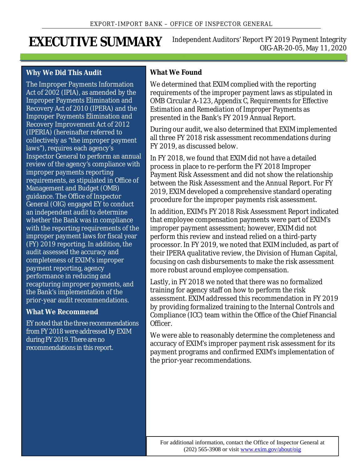<span id="page-4-0"></span>**Independent Auditors' Report FY 2019 Payment Integrity** EXECUTIVE SUMMARY Independent Auditors' Report FY 2019 Payment Integrity

#### **Why We Did This Audit**

The Improper Payments Information Act of 2002 (IPIA), as amended by the Improper Payments Elimination and Recovery Act of 2010 (IPERA) and the Improper Payments Elimination and Recovery Improvement Act of 2012 (IPERIA) (hereinafter referred to collectively as "the improper payment laws"), requires each agency's Inspector General to perform an annual review of the agency's compliance with improper payments reporting requirements, as stipulated in Office of Management and Budget (OMB) guidance. The Office of Inspector General (OIG) engaged EY to conduct an independent audit to determine whether the Bank was in compliance with the reporting requirements of the improper payment laws for fiscal year (FY) 2019 reporting. In addition, the audit assessed the accuracy and completeness of EXIM's improper payment reporting, agency performance in reducing and recapturing improper payments, and the Bank's implementation of the prior-year audit recommendations.

#### **What We Recommend**

 EY noted that the three recommendations from FY 2018 were addressed by EXIM during FY 2019. There are no recommendations in this report.

#### **What We Found**

We determined that EXIM complied with the reporting requirements of the improper payment laws as stipulated in OMB Circular A-123, *Appendix C, Requirements for Effective Estimation and Remediation of Improper Payments* as presented in the Bank's FY 2019 Annual Report.

During our audit, we also determined that EXIM implemented all three FY 2018 risk assessment recommendations during FY 2019, as discussed below.

In FY 2018, we found that EXIM did not have a detailed process in place to re-perform the FY 2018 Improper Payment Risk Assessment and did not show the relationship between the Risk Assessment and the Annual Report. For FY 2019, EXIM developed a comprehensive standard operating procedure for the improper payments risk assessment.

In addition, EXIM's FY 2018 Risk Assessment Report indicated that employee compensation payments were part of EXIM's improper payment assessment; however, EXIM did not perform this review and instead relied on a third-party processor. In FY 2019, we noted that EXIM included, as part of their IPERA qualitative review, the Division of Human Capital, focusing on cash disbursements to make the risk assessment more robust around employee compensation.

Lastly, in FY 2018 we noted that there was no formalized training for agency staff on how to perform the risk assessment. EXIM addressed this recommendation in FY 2019 by providing formalized training to the Internal Controls and Compliance (ICC) team within the Office of the Chief Financial Officer.

We were able to reasonably determine the completeness and accuracy of EXIM's improper payment risk assessment for its payment programs and confirmed EXIM's implementation of the prior-year recommendations.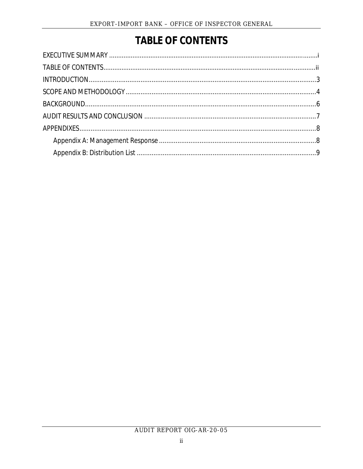# **TABLE OF CONTENTS**

<span id="page-5-0"></span>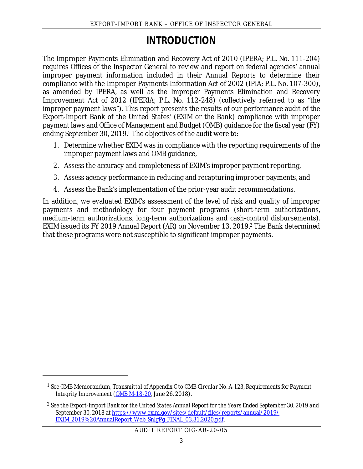## **INTRODUCTION**

<span id="page-6-0"></span> compliance with the Improper Payments Information Act of 2002 (IPIA; P.L. No. 107-300), as amended by IPERA, as well as the Improper Payments Elimination and Recovery The Improper Payments Elimination and Recovery Act of 2010 (IPERA; P.L. No. 111-204) requires Offices of the Inspector General to review and report on federal agencies' annual improper payment information included in their Annual Reports to determine their Improvement Act of 2012 (IPERIA; P.L. No. 112-248) (collectively referred to as "the improper payment laws"). This report presents the results of our performance audit of the Export-Import Bank of the United States' (EXIM or the Bank) compliance with improper payment laws and Office of Management and Budget (OMB) guidance for the fiscal year (FY) ending September 30, 2019.<sup>1</sup> The objectives of the audit were to:

- 1. Determine whether EXIM was in compliance with the reporting requirements of the improper payment laws and OMB guidance,
- 2. Assess the accuracy and completeness of EXIM's improper payment reporting,
- 3. Assess agency performance in reducing and recapturing improper payments, and
- 4. Assess the Bank's implementation of the prior-year audit recommendations.

In addition, we evaluated EXIM's assessment of the level of risk and quality of improper payments and methodology for four payment programs (short-term authorizations, medium-term authorizations, long-term authorizations and cash-control disbursements). EXIM issued its FY 2019 *Annual Report* (AR) on November 13, 2019.[2](#page-6-2) The Bank determined that these programs were not susceptible to significant improper payments.

A UDI T RE PORT OIG- AR -2 0- 0 5

<span id="page-6-1"></span><sup>1</sup>*See* OMB Memorandum, *Transmittal of Appendix C to OMB Circular No. A-123, Requirements for Payment Integrity Improvement* (OMB M-18-20, June 26, 2018).

<span id="page-6-2"></span><sup>2</sup>*See* the *Export-Import Bank for the United States Annual Report for the Years Ended September 30, 2019 and September 30, 2018* at [https://www.exim.gov/sites/default/files/reports/annual/2019/](https://www.exim.gov/sites/default/files/reports/annual/2019/EXIM_2019%20AnnualReport_Web_SnlgPg_FINAL_03.31.2020.pdf) [EXIM\\_2019%20AnnualReport\\_Web\\_SnlgPg\\_FINAL\\_03.31.2020.pdf.](https://www.exim.gov/sites/default/files/reports/annual/2019/EXIM_2019%20AnnualReport_Web_SnlgPg_FINAL_03.31.2020.pdf)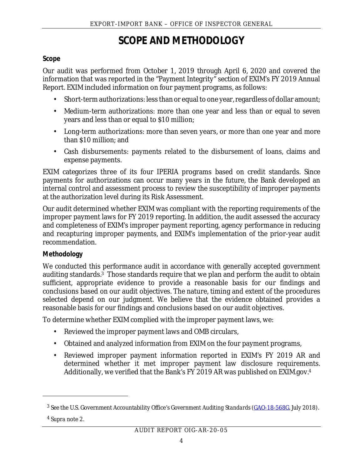### **SCOPE AND METHODOLOGY**

#### <span id="page-7-0"></span>**Scope**

 Our audit was performed from October 1, 2019 through April 6, 2020 and covered the information that was reported in the "Payment Integrity" section of EXIM's FY 2019 Annual Report. EXIM included information on four payment programs, as follows:

- Short-term authorizations: less than or equal to one year, regardless of dollar amount;
- Medium-term authorizations: more than one year and less than or equal to seven years and less than or equal to \$10 million;
- Long-term authorizations: more than seven years, or more than one year and more than \$10 million; and
- Cash disbursements: payments related to the disbursement of loans, claims and expense payments.

 EXIM categorizes three of its four IPERIA programs based on credit standards. Since payments for authorizations can occur many years in the future, the Bank developed an internal control and assessment process to review the susceptibility of improper payments at the authorization level during its Risk Assessment.

Our audit determined whether EXIM was compliant with the reporting requirements of the improper payment laws for FY 2019 reporting. In addition, the audit assessed the accuracy and completeness of EXIM's improper payment reporting, agency performance in reducing and recapturing improper payments, and EXIM's implementation of the prior-year audit recommendation.

#### **Methodology**

 auditing standards[.3](#page-7-1) Those standards require that we plan and perform the audit to obtain We conducted this performance audit in accordance with generally accepted government sufficient, appropriate evidence to provide a reasonable basis for our findings and conclusions based on our audit objectives. The nature, timing and extent of the procedures selected depend on our judgment. We believe that the evidence obtained provides a reasonable basis for our findings and conclusions based on our audit objectives.

To determine whether EXIM complied with the improper payment laws, we:

- Reviewed the improper payment laws and OMB circulars,
- Obtained and analyzed information from EXIM on the four payment programs,
- Reviewed improper payment information reported in EXIM's FY 2019 AR and determined whether it met improper payment law disclosure requirements. Additionally, we verified that the Bank's FY 2019 AR was published on [EXIM.gov.](http://EXIM.gov) [4](#page-7-2)

<span id="page-7-2"></span><sup>4</sup>*Supra* note 2.

<span id="page-7-1"></span><sup>3</sup>*See* the U.S. Government Accountability Office's *Government Auditing Standards* [\(GAO-18-568G](https://www.gao.gov/products/GAO-18-568G), July 2018).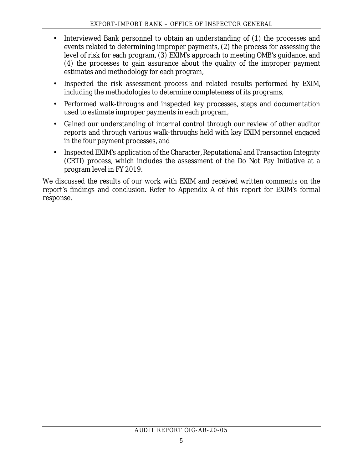- Interviewed Bank personnel to obtain an understanding of (1) the processes and events related to determining improper payments, (2) the process for assessing the level of risk for each program, (3) EXIM's approach to meeting OMB's guidance, and (4) the processes to gain assurance about the quality of the improper payment estimates and methodology for each program,
- Inspected the risk assessment process and related results performed by EXIM, including the methodologies to determine completeness of its programs,
- Performed walk-throughs and inspected key processes, steps and documentation used to estimate improper payments in each program,
- reports and through various walk-throughs held with key EXIM personnel engaged Gained our understanding of internal control through our review of other auditor in the four payment processes, and
- Inspected EXIM's application of the Character, Reputational and Transaction Integrity (CRTI) process, which includes the assessment of the Do Not Pay Initiative at a program level in FY 2019.

We discussed the results of our work with EXIM and received written comments on the report's findings and conclusion. Refer to Appendix A of this report for EXIM's formal response.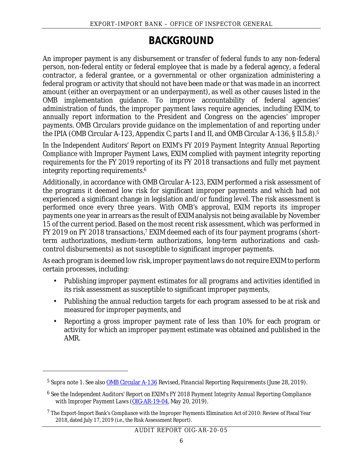### **BACKGROUND**

<span id="page-9-0"></span> contractor, a federal grantee, or a governmental or other organization administering a OMB implementation guidance. To improve accountability of federal agencies' administration of funds, the improper payment laws require agencies, including EXIM, to An improper payment is any disbursement or transfer of federal funds to any non-federal person, non-federal entity or federal employee that is made by a federal agency, a federal federal program or activity that should not have been made or that was made in an incorrect amount (either an overpayment or an underpayment), as well as other causes listed in the annually report information to the President and Congress on the agencies' improper payments. OMB Circulars provide guidance on the implementation of and reporting under the IPIA (OMB Circular A-123, Appendix C, parts I and II, and OMB Circular A-136, § II.5.8).[5](#page-9-1)

In the Independent Auditors' Report on EXIM's FY 2019 Payment Integrity Annual Reporting *Compliance with Improper Payment Laws*, EXIM complied with payment integrity reporting requirements for the FY 2019 reporting of its FY 2018 transactions and fully met payment integrity reporting requirements.<sup>[6](#page-9-2)</sup>

 payments one year in arrears as the result of EXIM analysis not being available by November Additionally, in accordance with OMB Circular A-123, EXIM performed a risk assessment of the programs it deemed low risk for significant improper payments and which had not experienced a significant change in legislation and/or funding level. The risk assessment is performed once every three years. With OMB's approval, EXIM reports its improper 15 of the current period. Based on the most recent risk assessment, which was performed in FY 2019 on FY 2018 transactions,<sup>7</sup> EXIM deemed each of its four payment programs (shortterm authorizations, medium-term authorizations, long-term authorizations and cashcontrol disbursements) as not susceptible to significant improper payments.

As each program is deemed low risk, improper payment laws do not require EXIM to perform certain processes, including:

- Publishing improper payment estimates for all programs and activities identified in its risk assessment as susceptible to significant improper payments,
- Publishing the annual reduction targets for each program assessed to be at risk and measured for improper payments, and
- Reporting a gross improper payment rate of less than 10% for each program or activity for which an improper payment estimate was obtained and published in the AMR.

<span id="page-9-1"></span><sup>5</sup>*Supra* note 1. *See* also [OMB Circular A-136](https://www.whitehouse.gov/wp-content/uploads/2019/06/OMB-Circular-A-136.pdf) Revised, *Financial Reporting Requirements* (June 28, 2019).

<span id="page-9-2"></span><sup>6</sup>*See* the *Independent Auditors' Report on EXIM's FY 2018 Payment Integrity Annual Reporting Compliance with Improper Payment Laws* [\(OIG-AR-19-04,](https://www.exim.gov/sites/default/files/oig/reports/Independent%20Auditors%20Report%20EXIM%27s%20FY%202018%20Payment%20Integrity%20OIG-AR-19-04%20508%20version.pdf) May 20, 2019).

<span id="page-9-3"></span><sup>&</sup>lt;sup>7</sup> The Export-Import Bank's Compliance with the Improper Payments Elimination Act of 2010: Review of Fiscal Year 2018, dated July 17, 2019 (i.e., the Risk Assessment Report).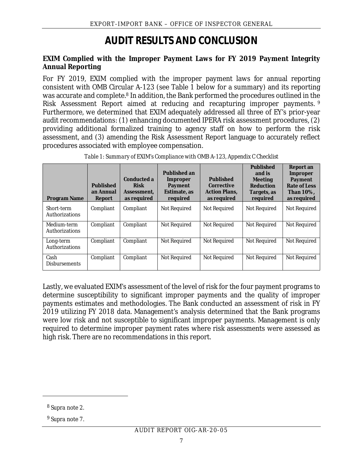## **AUDIT RESULTS AND CONCLUSION**

<span id="page-10-0"></span>**EXIM Complied with the Improper Payment Laws for FY 2019 Payment Integrity Annual Reporting** 

 For FY 2019, EXIM complied with the improper payment laws for annual reporting consistent with OMB Circular A-123 (see Table 1 below for a summary) and its reporting was accurate and complete[.8](#page-10-1) In addition, the Bank performed the procedures outlined in the Risk Assessment Report aimed at reducing and recapturing improper payments. [9](#page-10-2) Furthermore, we determined that EXIM adequately addressed all three of EY's prior-year audit recommendations: (1) enhancing documented IPERA risk assessment procedures, (2) providing additional formalized training to agency staff on how to perform the risk assessment, and (3) amending the Risk Assessment Report language to accurately reflect procedures associated with employee compensation.

| Program Name                  | Published<br>an Annual<br>Report | Conducted a<br><b>Risk</b><br>Assessment.<br>as required | Published an<br>Improper<br>Payment<br>Estimate, as<br>required | Published<br>Corrective<br><b>Action Plans.</b><br>as required | Published<br>and is<br>Meeting<br>Reduction<br>Targets, as<br>required | Report an<br>Improper<br>Payment<br>Rate of Less<br>Than 10%.<br>as required |
|-------------------------------|----------------------------------|----------------------------------------------------------|-----------------------------------------------------------------|----------------------------------------------------------------|------------------------------------------------------------------------|------------------------------------------------------------------------------|
| Short-term<br>Authorizations  | Compliant                        | Compliant                                                | Not Required                                                    | Not Required                                                   | Not Required                                                           | Not Required                                                                 |
| Medium-term<br>Authorizations | Compliant                        | Compliant                                                | Not Required                                                    | Not Required                                                   | Not Required                                                           | Not Required                                                                 |
| Long-term<br>Authorizations   | Compliant                        | Compliant                                                | Not Required                                                    | Not Required                                                   | Not Required                                                           | Not Required                                                                 |
| Cash<br><b>Disbursements</b>  | Compliant                        | Compliant                                                | Not Required                                                    | Not Required                                                   | Not Required                                                           | Not Required                                                                 |

*Table 1: Summary of EXIM's Compliance with OMB A-123, Appendix C Checklist* 

 2019 utilizing FY 2018 data. Management's analysis determined that the Bank programs required to determine improper payment rates where risk assessments were assessed as Lastly, we evaluated EXIM's assessment of the level of risk for the four payment programs to determine susceptibility to significant improper payments and the quality of improper payments estimates and methodologies. The Bank conducted an assessment of risk in FY were low risk and not susceptible to significant improper payments. Management is only high risk. There are no recommendations in this report.

<span id="page-10-1"></span><sup>8</sup>*Supra* note 2.

<span id="page-10-2"></span><sup>9</sup>*Supra* note 7.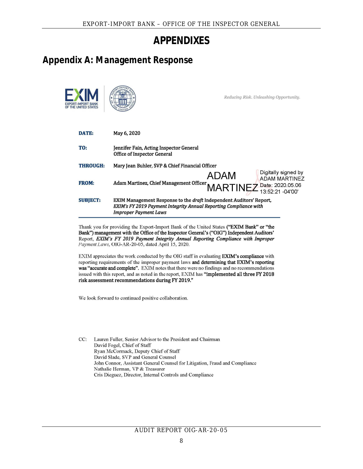### **APPENDIXES**

### <span id="page-11-1"></span><span id="page-11-0"></span>**Appendix A: Management Response**

|                 | EXPORT-IMPORT BANK - OFFICE OF THE INSPECTOR GENERAL                                                                                                                                                                                                                                                                                                                                                                                     |      |                                                                          |
|-----------------|------------------------------------------------------------------------------------------------------------------------------------------------------------------------------------------------------------------------------------------------------------------------------------------------------------------------------------------------------------------------------------------------------------------------------------------|------|--------------------------------------------------------------------------|
|                 | APPENDIXES                                                                                                                                                                                                                                                                                                                                                                                                                               |      |                                                                          |
|                 | ndix A: Management Response                                                                                                                                                                                                                                                                                                                                                                                                              |      |                                                                          |
|                 |                                                                                                                                                                                                                                                                                                                                                                                                                                          |      | Reducing Risk. Unleashing Opportunity.                                   |
| DATE:           | May 6, 2020                                                                                                                                                                                                                                                                                                                                                                                                                              |      |                                                                          |
| TO:             | Jennifer Fain, Acting Inspector General<br><b>Office of Inspector General</b>                                                                                                                                                                                                                                                                                                                                                            |      |                                                                          |
| <b>THROUGH:</b> | Mary Jean Buhler, SVP & Chief Financial Officer                                                                                                                                                                                                                                                                                                                                                                                          |      |                                                                          |
| <b>FROM:</b>    | Adam Martinez, Chief Management Officer                                                                                                                                                                                                                                                                                                                                                                                                  | ADAM | Digitally signed by<br><b>ADAM MARTINEZ</b><br>MARTINEZ Date: 2020.05.06 |
| <b>SUBJECT:</b> | EXIM Management Response to the draft Independent Auditors' Report,<br>EXIM's FY 2019 Payment Integrity Annual Reporting Compliance with<br><b>Improper Payment Laws</b>                                                                                                                                                                                                                                                                 |      |                                                                          |
|                 | Thank you for providing the Export-Import Bank of the United States ("EXIM Bank" or "the<br>Bank") management with the Office of the Inspector General's ("OIG") Independent Auditors'<br>Report, EXIM's FY 2019 Payment Integrity Annual Reporting Compliance with Improper<br>Payment Laws, OIG-AR-20-05, dated April 15, 2020.                                                                                                        |      |                                                                          |
|                 | EXIM appreciates the work conducted by the OIG staff in evaluating EXIM's compliance with<br>reporting requirements of the improper payment laws and determining that EXIM's reporting<br>was "accurate and complete". EXIM notes that there were no findings and no recommendations<br>issued with this report, and as noted in the report, EXIM has "implemented all three FY 2018<br>risk assessment recommendations during FY 2019." |      |                                                                          |
|                 | We look forward to continued positive collaboration.                                                                                                                                                                                                                                                                                                                                                                                     |      |                                                                          |
| CC:             | Lauren Fuller, Senior Advisor to the President and Chairman<br>David Fogel, Chief of Staff<br>Ryan McCormack, Deputy Chief of Staff<br>David Slade, SVP and General Counsel                                                                                                                                                                                                                                                              |      |                                                                          |
|                 | John Connor, Assistant General Counsel for Litigation, Fraud and Compliance<br>Nathalie Herman, VP & Treasurer                                                                                                                                                                                                                                                                                                                           |      |                                                                          |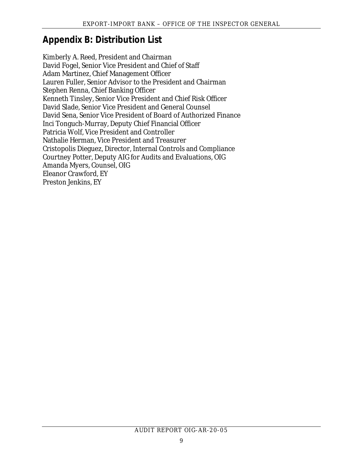### <span id="page-12-0"></span>**Appendix B: Distribution List**

Kimberly A. Reed, President and Chairman David Fogel, Senior Vice President and Chief of Staff Adam Martinez, Chief Management Officer Lauren Fuller, Senior Advisor to the President and Chairman Stephen Renna, Chief Banking Officer Kenneth Tinsley, Senior Vice President and Chief Risk Officer David Slade, Senior Vice President and General Counsel David Sena, Senior Vice President of Board of Authorized Finance Inci Tonguch-Murray, Deputy Chief Financial Officer Patricia Wolf, Vice President and Controller Nathalie Herman, Vice President and Treasurer Cristopolis Dieguez, Director, Internal Controls and Compliance Courtney Potter, Deputy AIG for Audits and Evaluations, OIG Amanda Myers, Counsel, OIG Eleanor Crawford, EY Preston Jenkins, EY